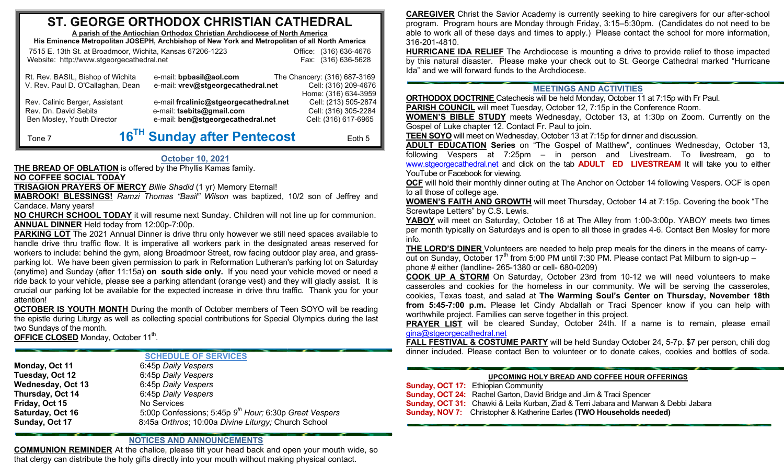## **STT. GEORGGE ORTHOODOX CHRRISTIAN CAATHEDRAL**

**A parish of th he Antiochian Orthhodox Christian AArchdiocese of Noorth America**

**His Eminence Metropolit tan JOSEPH, Arch hbishop of New Y oork and Metropolit tan of all North Ammerica** 

| 7515 E. 13th St. at Broadmoor, Wichita, Kansas 67206-1223              |                                                               | Office: (316) 636-4676                                                       |
|------------------------------------------------------------------------|---------------------------------------------------------------|------------------------------------------------------------------------------|
| Website: http://www.stgeorgecathedral.net                              |                                                               | Fax: (316) 636-5628                                                          |
| Rt. Rev. BASIL, Bishop of Wichita<br>V. Rev. Paul D. O'Callaghan, Dean | e-mail: bpbasil@aol.com<br>e-mail: vrev@stgeorgecathedral.net | The Chancery: (316) 687-3169<br>Cell: (316) 209-4676<br>Home: (316) 634-3959 |
| Rev. Calinic Berger, Assistant                                         | e-mail frcalinic@stgeorgecathedral.net                        | Cell: (213) 505-2874                                                         |
| Rev. Dn. David Sebits                                                  | e-mail: tsebits@gmail.com                                     | Cell: (316) 305-2284                                                         |
| Ben Mosley, Youth Director                                             | e-mail: ben@stgeorgecathedral.net                             | Cell: (316) 617-6965                                                         |

# **16TH Sun day after Penteco s t**

Eoth 5

### **Octtober 10, 2021**

**THE BREAD OF OBLATION** is offered by the Phyllis Kamas family.

### **NO COFFEE E SOCIAL TODAY**

Tone 7

 **TRISAGIO N N PRAYERS OF MERCY** Billie Shadid (1 yr) Memory Eternal!

**MABROOK! BLESSINGS!** *Ramzi Thomas "Basil" Wilson* was baptized, 10/2 son of Jeffrey and Candace. Many years!

**NO CHURCH SCHOOL TODAY** it will resume next Sunday. Children will not line up for communion. **ANNUAL DINNER** Held today from 12:00p-7:00p.

**PARKING LOT** The 2021 Annual Dinner is drive thru only however we still need spaces available to handle drive thru traffic flow. It is imperative all workers park in the designated areas reserved for workers to include: behind the gym, along Broadmoor Street, row facing outdoor play area, and grassparking lot. We have been given permission to park in Reformation Lutheran's parking lot on Saturday (anytime) and Sunday (after 11:15a) **on south side only.** If you need your vehicle moved or need a ride back to your vehicle, please see a parking attendant (orange vest) and they will gladly assist. It is crucial our parking lot be available for the expected increase in drive thru traffic. Thank you for your attention!

**<u>OCTOBER IS YOUTH MONTH</u>** During the month of October members of Teen SOYO will be reading the epistle during Liturgy as well as collecting special contributions for Special Olympics during the last two Sundays of the month.

**OFFICE CLOOSED** Monday, OOctober 11th.

### **SCHEDDULE OF SERVICES**

| Monday, Oct 11    | 6:45p Daily Vespers                                                |
|-------------------|--------------------------------------------------------------------|
| Tuesday, Oct 12   | 6:45p Daily Vespers                                                |
| Wednesday, Oct 13 | 6:45p Daily Vespers                                                |
| Thursday, Oct 14  | 6:45p Daily Vespers                                                |
| Friday, Oct 15    | No Services                                                        |
| Saturday, Oct 16  | 5:00p Confessions; 5:45p 9 <sup>th</sup> Hour; 6:30p Great Vespers |
| Sunday, Oct 17    | 8:45a Orthros; 10:00a Divine Liturgy; Church School                |
|                   |                                                                    |

### **NOTICES AAND ANNOUNCEEMENTS**

**COMMUNION REMINDER** At the chalice, please tilt your head back and open your mouth wide, so that clergy can distribute the holy gifts directly into your mouth without making physical contact.

**CAREGIVER** Christ the Savior Academy is currently seeking to hire caregivers for our after-school program. Program hours are Monday through Friday, 3:15–5:30pm. (Candidates do not need to be able to work all of these days and times to apply.) Please contact the school for more information, 316-201-4810.

**HURRICANE IDA RELIEF** The Archdiocese is mounting a drive to provide relief to those impacted by this natural disaster. Please make your check out to St. George Cathedral marked "Hurricane Ida" and we will forward funds to the Archdiocese.

### **MEETINGS S AND ACTIVITI E S**

**ORTHODOX DOCTRINE** Catechesis will be held Monday, October 11 at 7:15p with Fr Paul. **PARISH COUNCIL** will meet Tuesday, October 12, 7:15p in the Conference Room.

**WOMEN'S BIBLE STUDY** meets Wednesday, October 13, at 1:30p on Zoom. Currently on the Gospel of Luke chapter 12. Contact Fr. Paul to join.

**<u>TEEN SOYO</u> will meet on Wednesday, October 13 at 7:15p for dinner and discussion.** 

**ADULT EDUCCATION Series** on "The Gosp e el of Matthew", continues We d dnesday, Octob e er 13, following Vespers at 7:25pm – in person and Livestream. To livestream, go to <u>www.stgeorgecathedral.net</u> and click on the tab **ADULT ED LIVESTREAM** It will take you to either YouTube or Facebook for viewing.

<u>OCF</u> will hold their monthly dinner outing at The Anchor on October 14 following Vespers. OCF is open to all those of college age.

**WOMEN'S FAITH AND GROWTH** will meet Thursday, October 14 at 7:15p. Covering the book "The Screwtape Letters" by C.S. Lewis.

<u>YABOY</u> will meet on Saturday, October 16 at The Alley from 1:00-3:00p. YABOY meets two times per month typically on Saturdays and is open to all those in grades 4-6. Contact Ben Mosley for more info.

**<u>THE LORD'S DINER <code>Volunteers</code> are needed to help prep meals for the diners in the means of carry-**</u> out on Sunday, October 17<sup>th</sup> from 5:00 PM unti phone # either (landline- 265-1 3380 or cell- 680--0209) l 7:30 PM. Please contact Pat Milburn to sign-up –

**COOK UP A STORM** On Saturday, October 23rd from 10-12 we will need volunteers to make casseroles and cookies for the homeless in our community. We will be serving the casseroles, cookies, Texas toast, and salad at **The Warming Soul's Center on Thursday, November 18th from 5:45-7:00 p.m.** Please let Cindy Abdallah or Traci Spencer know if you can help with worthwhile project. Families can serve together in this project.

**PRAYER LIST** will be cleared Sunday, October 24th. If a name is to remain, please email gina@stgeorge cathedral.net

**FALL FESTIVAL & COSTUME PARTY** will be held Sunday October 24, 5-7p. \$7 per person, chili dog dinner included. Please contact Ben to volunteer or to donate cakes, cookies and bottles of soda.

#### **UPCOMI NNG HOLY BREAD AND COFFEE HOOUR OFFERINGS**

**Sunday, OCT 17:** Ethiopian Community

- **Sunday, OCT 24:** Rachel Garton, David Bridge and Jim & Traci Spencer
- **Sunday, OCT 31:** Chawki & Leila Kurban, Ziad & Terri Jabara and Marwan & Debbi Jabara
- **Sunday, NOV 7 :** Christopher & Katherine Earles **( (TWO Househol d ds needed)**